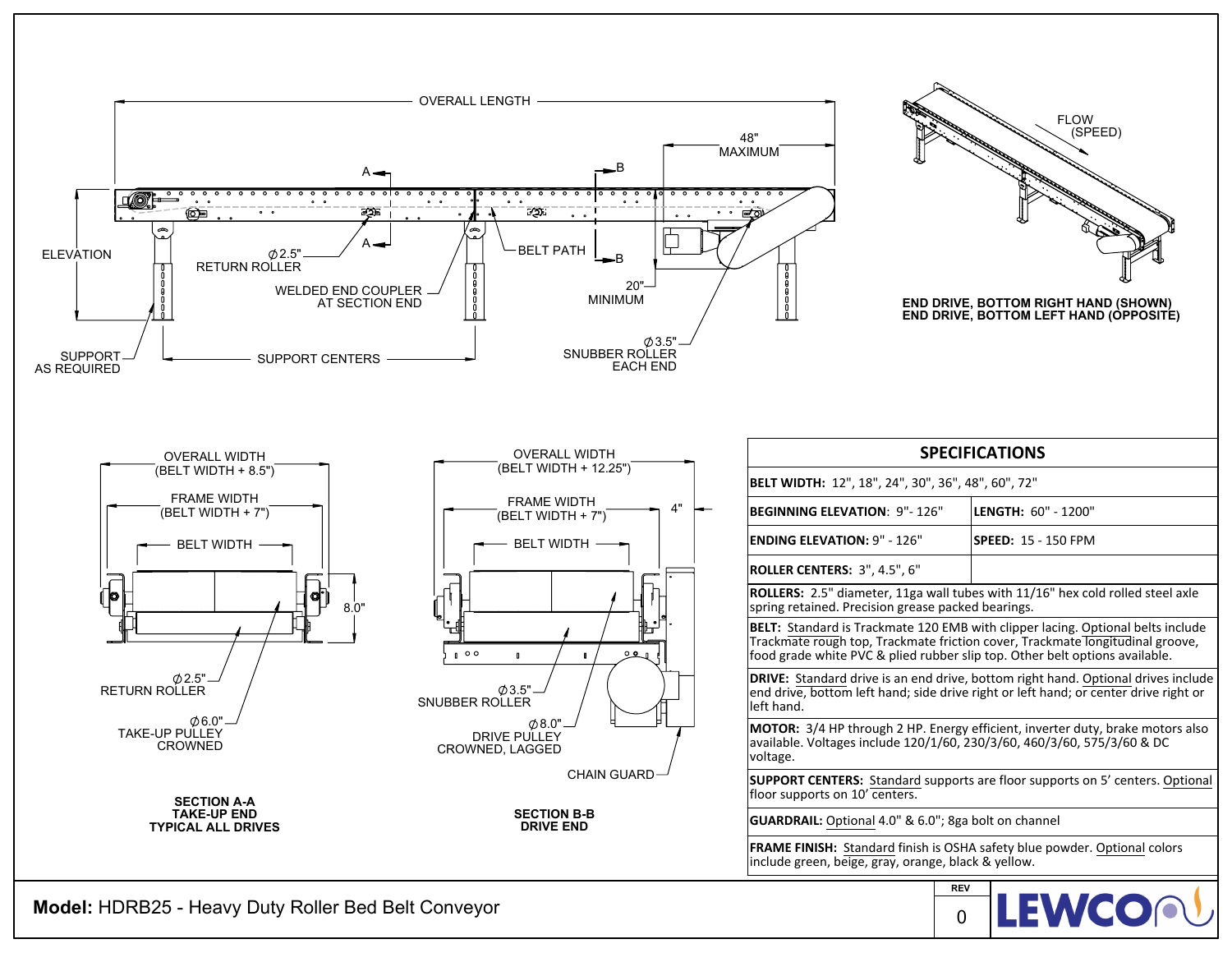

**Model:** HDRB25 - Heavy Duty Roller Bed Belt Conveyor